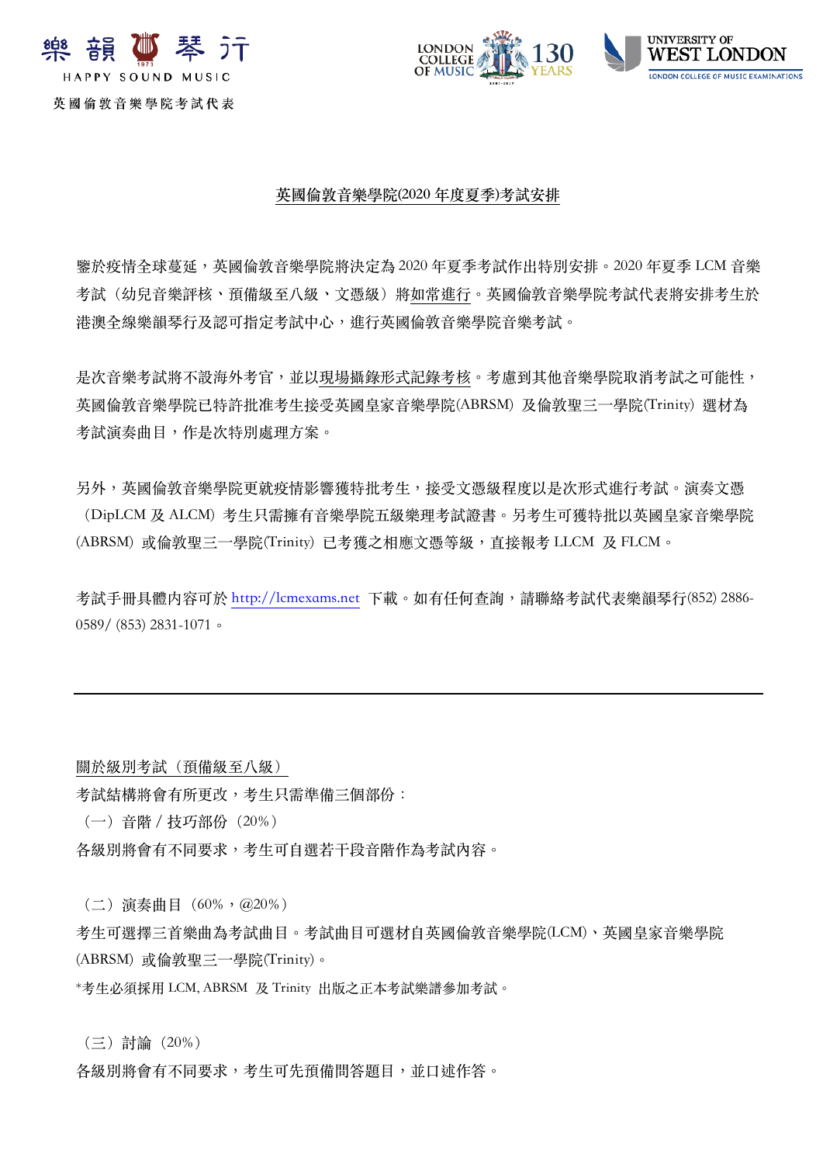





**英國倫敦⾳樂學院(2020 年度夏季)考試安排**

鑒於疫情全球蔓延,英國倫敦⾳樂學院將決定為 2020 年夏季考試作出特別安排。2020 年夏季 LCM ⾳樂 考試(幼兒音樂評核、預備級至八級、文憑級)將如常進行。英國倫敦音樂學院考試代表將安排考生於 港澳全線樂韻琴行及認可指定考試中心, 推行英國倫敦音樂學院音樂考試。

是次音樂考試將不設海外考官,並以現場攝錄形式記錄考核。考慮到其他音樂學院取消考試之可能性, 英國倫敦音樂學院已特許批准考生接受英國皇家音樂學院(ABRSM) 及倫敦聖三一學院(Trinity) 選材為 考試演奏曲目,作是次特別處理方案。

另外,英國倫敦音樂學院更就疫情影響獲特批考生,接受文憑級程度以是次形式進行考試。演奏文憑 (DipLCM 及 ALCM) 考生只需擁有音樂學院五級樂理考試證書。另考牛可獲特批以英國皇家音樂學院 (ABRSM) 或倫敦聖三⼀學院(Trinity) 已考獲之相應⽂憑等級,直接報考 LLCM 及 FLCM。

考試手冊具體内容可於 http://lcmexams.net 下載。如有任何查詢,請聯絡考試代表樂韻琴行(852) 2886-0589/ (853) 2831-1071。

關於級別考試(預備級至八級)

考試結構將會有所更改,考⽣只需準備三個部份:

(⼀)⾳階/技巧部份(20%)

各級別將會有不同要求,考生可自選若干段音階作為考試內容。

(⼆)演奏曲⽬(60%,@20%)

考生可選擇三首樂曲為考試曲目。考試曲目可選材自英國倫敦音樂學院(LCM)、英國皇家音樂學院 (ABRSM) 或倫敦聖三⼀學院(Trinity)。

\*考⽣必須採⽤ LCM, ABRSM 及 Trinity 出版之正本考試樂譜參加考試。

(三)討論(20%)

各級別將會有不同要求,考生可先預備問答題目,並口述作答。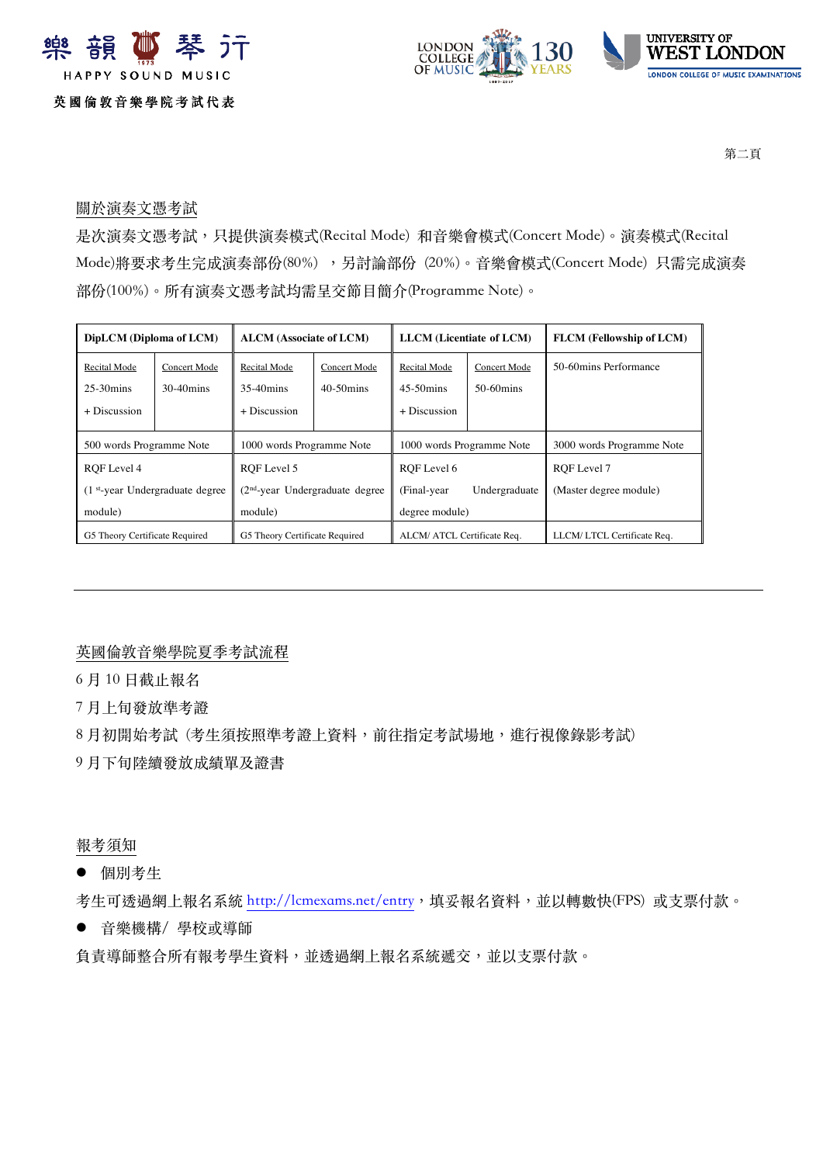



第二頁

## 關於演奏⽂憑考試

是次演奏文憑考試,只提供演奏模式(Recital Mode) 和音樂會模式(Concert Mode)。演奏模式(Recital Mode)將要求考生完成演奏部份(80%), 另討論部份 (20%)。音樂會模式(Concert Mode) 只需完成演奏 部份(100%)。所有演奏文憑考試均需呈交節目簡介(Programme Note)。

| DipLCM (Diploma of LCM)                      |              | <b>ALCM</b> (Associate of LCM)   |              | <b>LLCM</b> (Licentiate of LCM) |                      | <b>FLCM</b> (Fellowship of LCM) |
|----------------------------------------------|--------------|----------------------------------|--------------|---------------------------------|----------------------|---------------------------------|
| Recital Mode                                 | Concert Mode | Recital Mode                     | Concert Mode | Recital Mode                    | Concert Mode         | 50-60 mins Performance          |
| $25-30$ mins                                 | $30-40$ mins | $35-40$ mins                     | $40-50$ mins | $45-50$ mins                    | $50-60 \text{ mins}$ |                                 |
| $+$ Discussion                               |              | + Discussion                     |              | + Discussion                    |                      |                                 |
| 500 words Programme Note                     |              | 1000 words Programme Note        |              | 1000 words Programme Note       |                      | 3000 words Programme Note       |
| ROF Level 4                                  |              | ROF Level 5                      |              | ROF Level 6                     |                      | ROF Level 7                     |
| (1 <sup>st-</sup> year Undergraduate degree) |              | $(2nd-year$ Undergraduate degree |              | (Final-year)                    | Undergraduate        | (Master degree module)          |
| module)                                      |              | module)                          |              | degree module)                  |                      |                                 |
| G5 Theory Certificate Required               |              | G5 Theory Certificate Required   |              | ALCM/ ATCL Certificate Req.     |                      | LLCM/LTCL Certificate Req.      |

英國倫敦⾳樂學院夏季考試流程

6 ⽉ 10 ⽇截⽌報名

7 ⽉上旬發放準考證

8月初開始考試 (考生須按照準考證上資料,前往指定考試場地,進行視像錄影考試)

9月下旬陸續發放成績單及證書

報考須知

● 個別考生

考生可透過網上報名系統 http://lcmexams.net/entry,填妥報名資料,並以轉數快(FPS) 或支票付款。

● 音樂機構/學校或導師

負責導師整合所有報考學生資料,並透過網上報名系統遞交,並以支票付款。